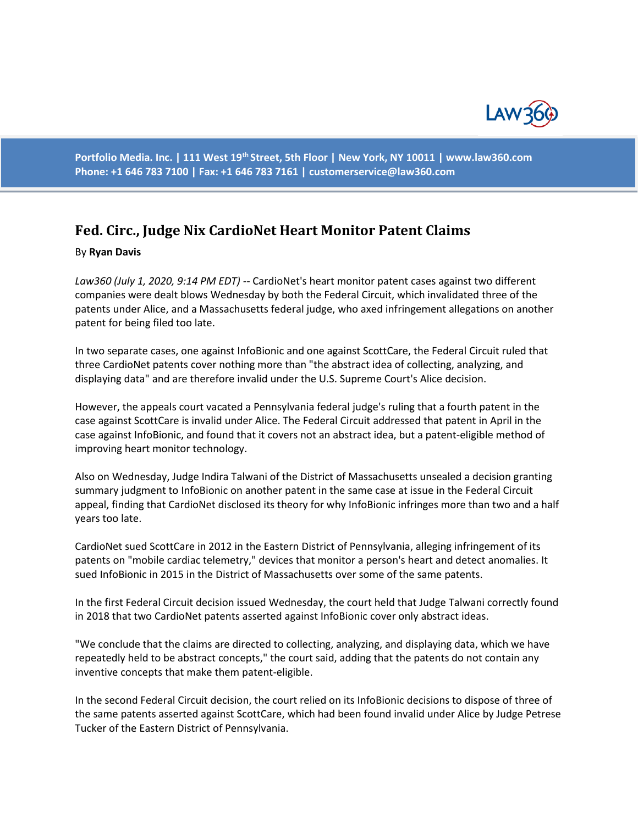

**Portfolio Media. Inc. | 111 West 19th Street, 5th Floor | New York, NY 10011 | www.law360.com Phone: +1 646 783 7100 | Fax: +1 646 783 7161 | customerservice@law360.com**

## **Fed. Circ., Judge Nix CardioNet Heart Monitor Patent Claims**

## By **Ryan Davis**

*Law360 (July 1, 2020, 9:14 PM EDT) --* CardioNet's heart monitor patent cases against two different companies were dealt blows Wednesday by both the Federal Circuit, which invalidated three of the patents under Alice, and a Massachusetts federal judge, who axed infringement allegations on another patent for being filed too late.

In two separate cases, one against InfoBionic and one against ScottCare, the Federal Circuit ruled that three CardioNet patents cover nothing more than "the abstract idea of collecting, analyzing, and displaying data" and are therefore invalid under the U.S. Supreme Court's Alice decision.

However, the appeals court vacated a Pennsylvania federal judge's ruling that a fourth patent in the case against ScottCare is invalid under Alice. The Federal Circuit addressed that patent in April in the case against InfoBionic, and found that it covers not an abstract idea, but a patent-eligible method of improving heart monitor technology.

Also on Wednesday, Judge Indira Talwani of the District of Massachusetts unsealed a decision granting summary judgment to InfoBionic on another patent in the same case at issue in the Federal Circuit appeal, finding that CardioNet disclosed its theory for why InfoBionic infringes more than two and a half years too late.

CardioNet sued ScottCare in 2012 in the Eastern District of Pennsylvania, alleging infringement of its patents on "mobile cardiac telemetry," devices that monitor a person's heart and detect anomalies. It sued InfoBionic in 2015 in the District of Massachusetts over some of the same patents.

In the first Federal Circuit decision issued Wednesday, the court held that Judge Talwani correctly found in 2018 that two CardioNet patents asserted against InfoBionic cover only abstract ideas.

"We conclude that the claims are directed to collecting, analyzing, and displaying data, which we have repeatedly held to be abstract concepts," the court said, adding that the patents do not contain any inventive concepts that make them patent-eligible.

In the second Federal Circuit decision, the court relied on its InfoBionic decisions to dispose of three of the same patents asserted against ScottCare, which had been found invalid under Alice by Judge Petrese Tucker of the Eastern District of Pennsylvania.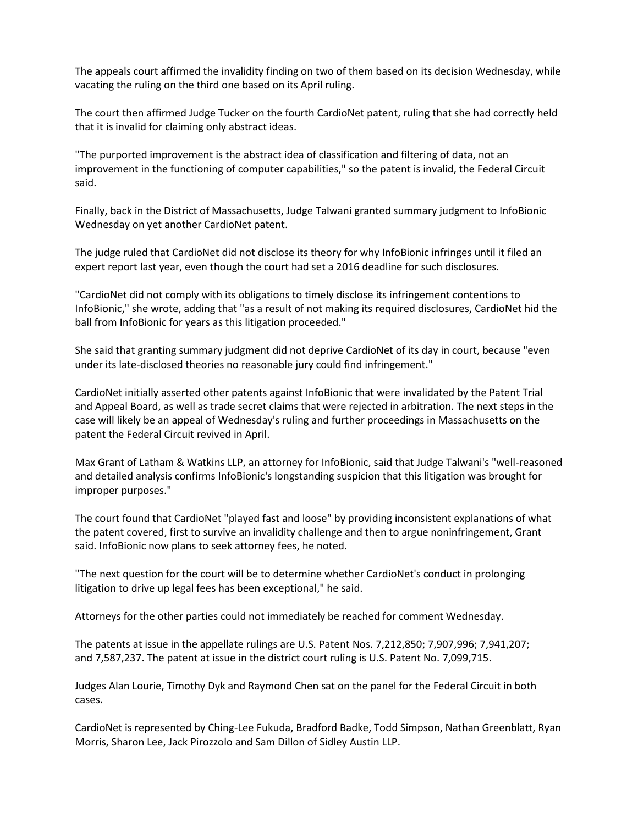The appeals court affirmed the invalidity finding on two of them based on its decision Wednesday, while vacating the ruling on the third one based on its April ruling.

The court then affirmed Judge Tucker on the fourth CardioNet patent, ruling that she had correctly held that it is invalid for claiming only abstract ideas.

"The purported improvement is the abstract idea of classification and filtering of data, not an improvement in the functioning of computer capabilities," so the patent is invalid, the Federal Circuit said.

Finally, back in the District of Massachusetts, Judge Talwani granted summary judgment to InfoBionic Wednesday on yet another CardioNet patent.

The judge ruled that CardioNet did not disclose its theory for why InfoBionic infringes until it filed an expert report last year, even though the court had set a 2016 deadline for such disclosures.

"CardioNet did not comply with its obligations to timely disclose its infringement contentions to InfoBionic," she wrote, adding that "as a result of not making its required disclosures, CardioNet hid the ball from InfoBionic for years as this litigation proceeded."

She said that granting summary judgment did not deprive CardioNet of its day in court, because "even under its late-disclosed theories no reasonable jury could find infringement."

CardioNet initially asserted other patents against InfoBionic that were invalidated by the Patent Trial and Appeal Board, as well as trade secret claims that were rejected in arbitration. The next steps in the case will likely be an appeal of Wednesday's ruling and further proceedings in Massachusetts on the patent the Federal Circuit revived in April.

Max Grant of Latham & Watkins LLP, an attorney for InfoBionic, said that Judge Talwani's "well-reasoned and detailed analysis confirms InfoBionic's longstanding suspicion that this litigation was brought for improper purposes."

The court found that CardioNet "played fast and loose" by providing inconsistent explanations of what the patent covered, first to survive an invalidity challenge and then to argue noninfringement, Grant said. InfoBionic now plans to seek attorney fees, he noted.

"The next question for the court will be to determine whether CardioNet's conduct in prolonging litigation to drive up legal fees has been exceptional," he said.

Attorneys for the other parties could not immediately be reached for comment Wednesday.

The patents at issue in the appellate rulings are U.S. Patent Nos. 7,212,850; 7,907,996; 7,941,207; and 7,587,237. The patent at issue in the district court ruling is U.S. Patent No. 7,099,715.

Judges Alan Lourie, Timothy Dyk and Raymond Chen sat on the panel for the Federal Circuit in both cases.

CardioNet is represented by Ching-Lee Fukuda, Bradford Badke, Todd Simpson, Nathan Greenblatt, Ryan Morris, Sharon Lee, Jack Pirozzolo and Sam Dillon of Sidley Austin LLP.